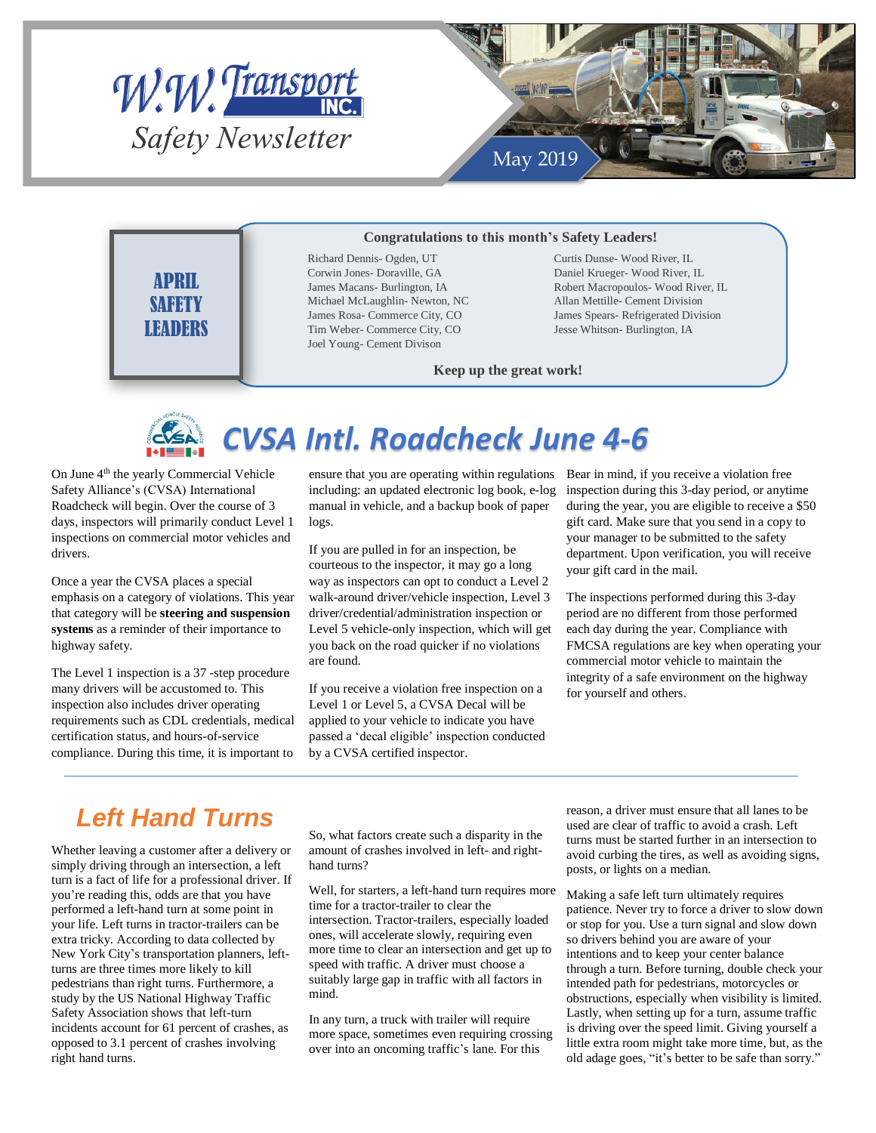



### **Congratulations to this month's Safety Leaders!**

APRIL **SAFFTY LEADERS** 

Richard Dennis- Ogden, UT Corwin Jones- Doraville, GA James Macans- Burlington, IA Michael McLaughlin- Newton, NC James Rosa- Commerce City, CO Tim Weber- Commerce City, CO Joel Young- Cement Divison

Curtis Dunse- Wood River, IL Daniel Krueger- Wood River, IL Robert Macropoulos- Wood River, IL Allan Mettille- Cement Division James Spears- Refrigerated Division Jesse Whitson- Burlington, IA

### **Keep up the great work!**



## *CVSA Intl. Roadcheck June 4-6*

On June 4<sup>th</sup> the yearly Commercial Vehicle Safety Alliance's (CVSA) International Roadcheck will begin. Over the course of 3 days, inspectors will primarily conduct Level 1 inspections on commercial motor vehicles and drivers.

Once a year the CVSA places a special emphasis on a category of violations. This year that category will be **steering and suspension systems** as a reminder of their importance to highway safety.

The Level 1 inspection is a 37 -step procedure many drivers will be accustomed to. This inspection also includes driver operating requirements such as CDL credentials, medical certification status, and hours-of-service compliance. During this time, it is important to ensure that you are operating within regulations including: an updated electronic log book, e-log manual in vehicle, and a backup book of paper logs.

If you are pulled in for an inspection, be courteous to the inspector, it may go a long way as inspectors can opt to conduct a Level 2 walk-around driver/vehicle inspection, Level 3 driver/credential/administration inspection or Level 5 vehicle-only inspection, which will get you back on the road quicker if no violations are found.

If you receive a violation free inspection on a Level 1 or Level 5, a CVSA Decal will be applied to your vehicle to indicate you have passed a 'decal eligible' inspection conducted by a CVSA certified inspector.

Bear in mind, if you receive a violation free inspection during this 3-day period, or anytime during the year, you are eligible to receive a \$50 gift card. Make sure that you send in a copy to your manager to be submitted to the safety department. Upon verification, you will receive your gift card in the mail.

The inspections performed during this 3-day period are no different from those performed each day during the year. Compliance with FMCSA regulations are key when operating your commercial motor vehicle to maintain the integrity of a safe environment on the highway for yourself and others.

## *Left Hand Turns*

Whether leaving a customer after a delivery or simply driving through an intersection, a left turn is a fact of life for a professional driver. If you're reading this, odds are that you have performed a left-hand turn at some point in your life. Left turns in tractor-trailers can be extra tricky. According to data collected by New York City's transportation planners, leftturns are three times more likely to kill pedestrians than right turns. Furthermore, a study by the US National Highway Traffic Safety Association shows that left-turn incidents account for 61 percent of crashes, as opposed to 3.1 percent of crashes involving right hand turns.

So, what factors create such a disparity in the amount of crashes involved in left- and righthand turns?

Well, for starters, a left-hand turn requires more time for a tractor-trailer to clear the intersection. Tractor-trailers, especially loaded ones, will accelerate slowly, requiring even more time to clear an intersection and get up to speed with traffic. A driver must choose a suitably large gap in traffic with all factors in mind.

In any turn, a truck with trailer will require more space, sometimes even requiring crossing over into an oncoming traffic's lane. For this

reason, a driver must ensure that all lanes to be used are clear of traffic to avoid a crash. Left turns must be started further in an intersection to avoid curbing the tires, as well as avoiding signs, posts, or lights on a median.

Making a safe left turn ultimately requires patience. Never try to force a driver to slow down or stop for you. Use a turn signal and slow down so drivers behind you are aware of your intentions and to keep your center balance through a turn. Before turning, double check your intended path for pedestrians, motorcycles or obstructions, especially when visibility is limited. Lastly, when setting up for a turn, assume traffic is driving over the speed limit. Giving yourself a little extra room might take more time, but, as the old adage goes, "it's better to be safe than sorry."